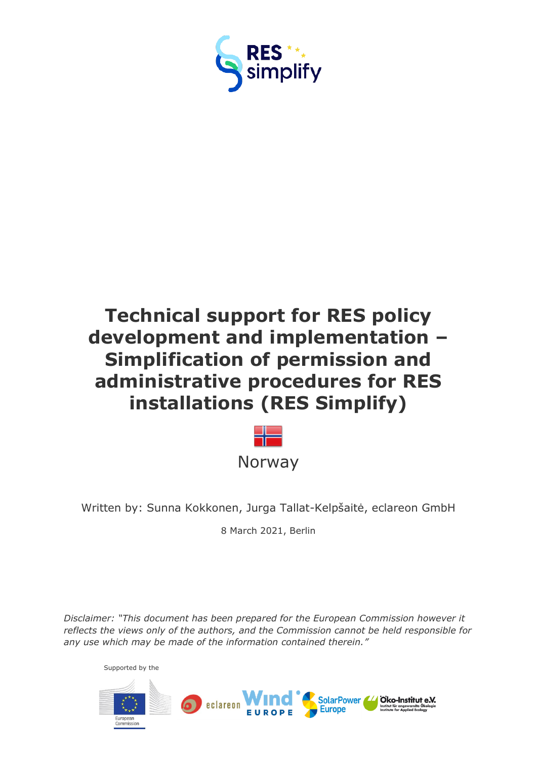

# **Technical support for RES policy development and implementation – Simplification of permission and administrative procedures for RES installations (RES Simplify)**



Written by: Sunna Kokkonen, Jurga Tallat-Kelpšaitė, eclareon GmbH

8 March 2021, Berlin

*Disclaimer: "This document has been prepared for the European Commission however it reflects the views only of the authors, and the Commission cannot be held responsible for any use which may be made of the information contained therein."*

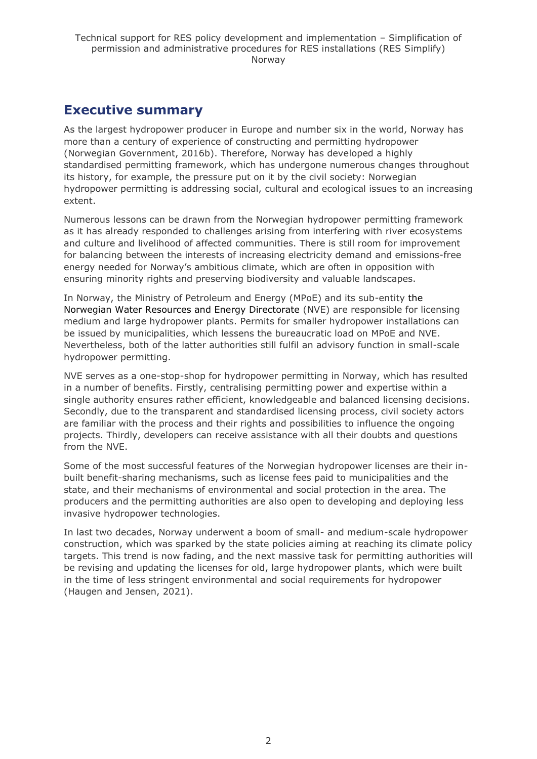# <span id="page-1-0"></span>**Executive summary**

As the largest hydropower producer in Europe and number six in the world, Norway has more than a century of experience of constructing and permitting hydropower (Norwegian Government, 2016b). Therefore, Norway has developed a highly standardised permitting framework, which has undergone numerous changes throughout its history, for example, the pressure put on it by the civil society: Norwegian hydropower permitting is addressing social, cultural and ecological issues to an increasing extent.

Numerous lessons can be drawn from the Norwegian hydropower permitting framework as it has already responded to challenges arising from interfering with river ecosystems and culture and livelihood of affected communities. There is still room for improvement for balancing between the interests of increasing electricity demand and emissions-free energy needed for Norway's ambitious climate, which are often in opposition with ensuring minority rights and preserving biodiversity and valuable landscapes.

In Norway, the Ministry of Petroleum and Energy (MPoE) and its sub-entity the Norwegian Water Resources and Energy Directorate (NVE) are responsible for licensing medium and large hydropower plants. Permits for smaller hydropower installations can be issued by municipalities, which lessens the bureaucratic load on MPoE and NVE. Nevertheless, both of the latter authorities still fulfil an advisory function in small-scale hydropower permitting.

NVE serves as a one-stop-shop for hydropower permitting in Norway, which has resulted in a number of benefits. Firstly, centralising permitting power and expertise within a single authority ensures rather efficient, knowledgeable and balanced licensing decisions. Secondly, due to the transparent and standardised licensing process, civil society actors are familiar with the process and their rights and possibilities to influence the ongoing projects. Thirdly, developers can receive assistance with all their doubts and questions from the NVE.

Some of the most successful features of the Norwegian hydropower licenses are their inbuilt benefit-sharing mechanisms, such as license fees paid to municipalities and the state, and their mechanisms of environmental and social protection in the area. The producers and the permitting authorities are also open to developing and deploying less invasive hydropower technologies.

In last two decades, Norway underwent a boom of small- and medium-scale hydropower construction, which was sparked by the state policies aiming at reaching its climate policy targets. This trend is now fading, and the next massive task for permitting authorities will be revising and updating the licenses for old, large hydropower plants, which were built in the time of less stringent environmental and social requirements for hydropower (Haugen and Jensen, 2021).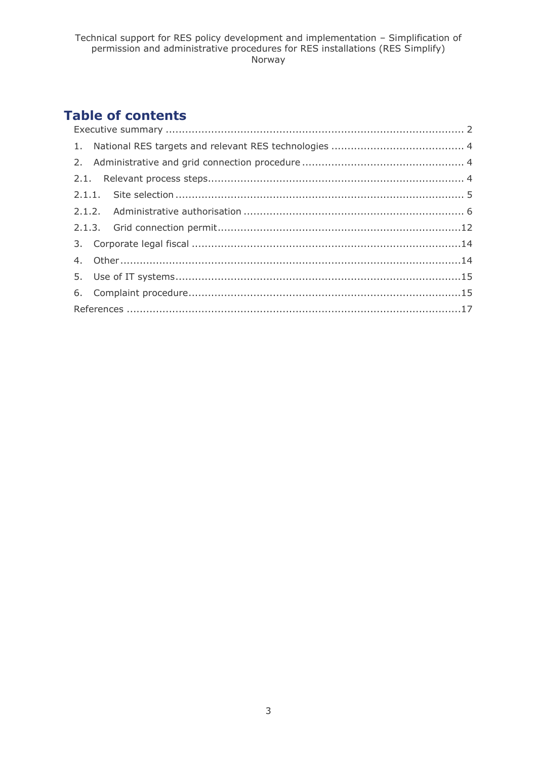# **Table of contents**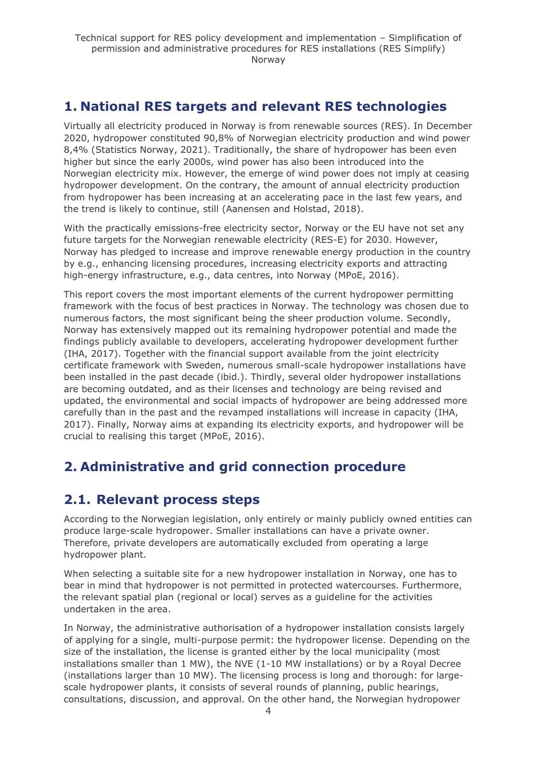# <span id="page-3-0"></span>**1. National RES targets and relevant RES technologies**

Virtually all electricity produced in Norway is from renewable sources (RES). In December 2020, hydropower constituted 90,8% of Norwegian electricity production and wind power 8,4% (Statistics Norway, 2021). Traditionally, the share of hydropower has been even higher but since the early 2000s, wind power has also been introduced into the Norwegian electricity mix. However, the emerge of wind power does not imply at ceasing hydropower development. On the contrary, the amount of annual electricity production from hydropower has been increasing at an accelerating pace in the last few years, and the trend is likely to continue, still (Aanensen and Holstad, 2018).

With the practically emissions-free electricity sector, Norway or the EU have not set any future targets for the Norwegian renewable electricity (RES-E) for 2030. However, Norway has pledged to increase and improve renewable energy production in the country by e.g., enhancing licensing procedures, increasing electricity exports and attracting high-energy infrastructure, e.g., data centres, into Norway (MPoE, 2016).

This report covers the most important elements of the current hydropower permitting framework with the focus of best practices in Norway. The technology was chosen due to numerous factors, the most significant being the sheer production volume. Secondly, Norway has extensively mapped out its remaining hydropower potential and made the findings publicly available to developers, accelerating hydropower development further (IHA, 2017). Together with the financial support available from the joint electricity certificate framework with Sweden, numerous small-scale hydropower installations have been installed in the past decade (ibid.). Thirdly, several older hydropower installations are becoming outdated, and as their licenses and technology are being revised and updated, the environmental and social impacts of hydropower are being addressed more carefully than in the past and the revamped installations will increase in capacity (IHA, 2017). Finally, Norway aims at expanding its electricity exports, and hydropower will be crucial to realising this target (MPoE, 2016).

# <span id="page-3-1"></span>**2. Administrative and grid connection procedure**

# <span id="page-3-2"></span>**2.1. Relevant process steps**

According to the Norwegian legislation, only entirely or mainly publicly owned entities can produce large-scale hydropower. Smaller installations can have a private owner. Therefore, private developers are automatically excluded from operating a large hydropower plant.

When selecting a suitable site for a new hydropower installation in Norway, one has to bear in mind that hydropower is not permitted in protected watercourses. Furthermore, the relevant spatial plan (regional or local) serves as a guideline for the activities undertaken in the area.

In Norway, the administrative authorisation of a hydropower installation consists largely of applying for a single, multi-purpose permit: the hydropower license. Depending on the size of the installation, the license is granted either by the local municipality (most installations smaller than 1 MW), the NVE (1-10 MW installations) or by a Royal Decree (installations larger than 10 MW). The licensing process is long and thorough: for largescale hydropower plants, it consists of several rounds of planning, public hearings, consultations, discussion, and approval. On the other hand, the Norwegian hydropower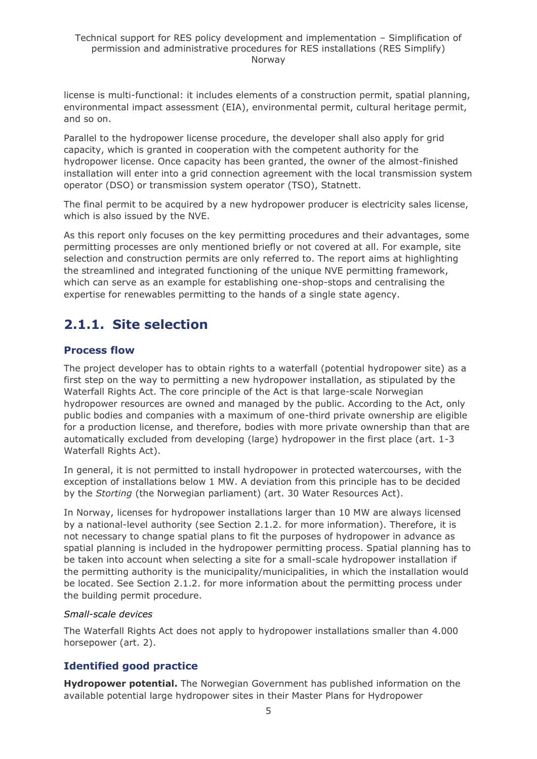license is multi-functional: it includes elements of a construction permit, spatial planning, environmental impact assessment (EIA), environmental permit, cultural heritage permit, and so on.

Parallel to the hydropower license procedure, the developer shall also apply for grid capacity, which is granted in cooperation with the competent authority for the hydropower license. Once capacity has been granted, the owner of the almost-finished installation will enter into a grid connection agreement with the local transmission system operator (DSO) or transmission system operator (TSO), Statnett.

The final permit to be acquired by a new hydropower producer is electricity sales license, which is also issued by the NVE.

As this report only focuses on the key permitting procedures and their advantages, some permitting processes are only mentioned briefly or not covered at all. For example, site selection and construction permits are only referred to. The report aims at highlighting the streamlined and integrated functioning of the unique NVE permitting framework, which can serve as an example for establishing one-shop-stops and centralising the expertise for renewables permitting to the hands of a single state agency.

# <span id="page-4-0"></span>**2.1.1. Site selection**

### **Process flow**

The project developer has to obtain rights to a waterfall (potential hydropower site) as a first step on the way to permitting a new hydropower installation, as stipulated by the Waterfall Rights Act. The core principle of the Act is that large-scale Norwegian hydropower resources are owned and managed by the public. According to the Act, only public bodies and companies with a maximum of one-third private ownership are eligible for a production license, and therefore, bodies with more private ownership than that are automatically excluded from developing (large) hydropower in the first place (art. 1-3 Waterfall Rights Act).

In general, it is not permitted to install hydropower in protected watercourses, with the exception of installations below 1 MW. A deviation from this principle has to be decided by the *Storting* (the Norwegian parliament) (art. 30 Water Resources Act).

In Norway, licenses for hydropower installations larger than 10 MW are always licensed by a national-level authority (see Section 2.1.2. for more information). Therefore, it is not necessary to change spatial plans to fit the purposes of hydropower in advance as spatial planning is included in the hydropower permitting process. Spatial planning has to be taken into account when selecting a site for a small-scale hydropower installation if the permitting authority is the municipality/municipalities, in which the installation would be located. See Section 2.1.2. for more information about the permitting process under the building permit procedure.

#### *Small-scale devices*

The Waterfall Rights Act does not apply to hydropower installations smaller than 4.000 horsepower (art. 2).

## **Identified good practice**

**Hydropower potential.** The Norwegian Government has published information on the available potential large hydropower sites in their Master Plans for Hydropower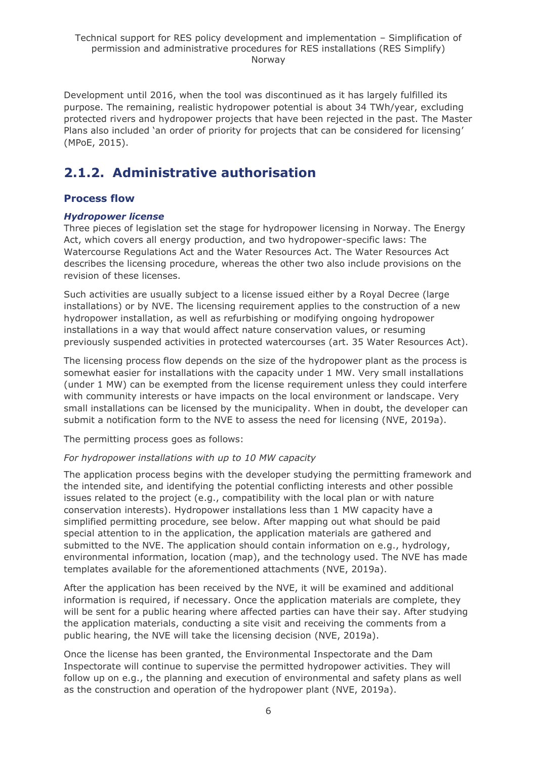Development until 2016, when the tool was discontinued as it has largely fulfilled its purpose. The remaining, realistic hydropower potential is about 34 TWh/year, excluding protected rivers and hydropower projects that have been rejected in the past. The Master Plans also included 'an order of priority for projects that can be considered for licensing' (MPoE, 2015).

# <span id="page-5-0"></span>**2.1.2. Administrative authorisation**

### **Process flow**

### *Hydropower license*

Three pieces of legislation set the stage for hydropower licensing in Norway. The Energy Act, which covers all energy production, and two hydropower-specific laws: The Watercourse Regulations Act and the Water Resources Act. The Water Resources Act describes the licensing procedure, whereas the other two also include provisions on the revision of these licenses.

Such activities are usually subject to a license issued either by a Royal Decree (large installations) or by NVE. The licensing requirement applies to the construction of a new hydropower installation, as well as refurbishing or modifying ongoing hydropower installations in a way that would affect nature conservation values, or resuming previously suspended activities in protected watercourses (art. 35 Water Resources Act).

The licensing process flow depends on the size of the hydropower plant as the process is somewhat easier for installations with the capacity under 1 MW. Very small installations (under 1 MW) can be exempted from the license requirement unless they could interfere with community interests or have impacts on the local environment or landscape. Very small installations can be licensed by the municipality. When in doubt, the developer can submit a notification form to the NVE to assess the need for licensing (NVE, 2019a).

The permitting process goes as follows:

### *For hydropower installations with up to 10 MW capacity*

The application process begins with the developer studying the permitting framework and the intended site, and identifying the potential conflicting interests and other possible issues related to the project (e.g., compatibility with the local plan or with nature conservation interests). Hydropower installations less than 1 MW capacity have a simplified permitting procedure, see below. After mapping out what should be paid special attention to in the application, the application materials are gathered and submitted to the NVE. The application should contain information on e.g., hydrology, environmental information, location (map), and the technology used. The NVE has made templates available for the aforementioned attachments (NVE, 2019a).

After the application has been received by the NVE, it will be examined and additional information is required, if necessary. Once the application materials are complete, they will be sent for a public hearing where affected parties can have their say. After studying the application materials, conducting a site visit and receiving the comments from a public hearing, the NVE will take the licensing decision (NVE, 2019a).

Once the license has been granted, the Environmental Inspectorate and the Dam Inspectorate will continue to supervise the permitted hydropower activities. They will follow up on e.g., the planning and execution of environmental and safety plans as well as the construction and operation of the hydropower plant (NVE, 2019a).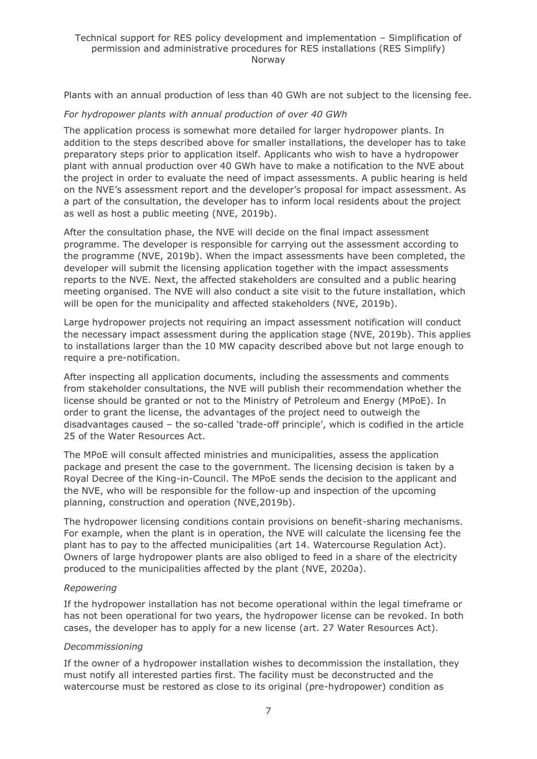#### Technical support for RES policy development and implementation – Simplification of permission and administrative procedures for RES installations (RES Simplify) Norway

Plants with an annual production of less than 40 GWh are not subject to the licensing fee.

#### *For hydropower plants with annual production of over 40 GWh*

The application process is somewhat more detailed for larger hydropower plants. In addition to the steps described above for smaller installations, the developer has to take preparatory steps prior to application itself. Applicants who wish to have a hydropower plant with annual production over 40 GWh have to make a notification to the NVE about the project in order to evaluate the need of impact assessments. A public hearing is held on the NVE's assessment report and the developer's proposal for impact assessment. As a part of the consultation, the developer has to inform local residents about the project as well as host a public meeting (NVE, 2019b).

After the consultation phase, the NVE will decide on the final impact assessment programme. The developer is responsible for carrying out the assessment according to the programme (NVE, 2019b). When the impact assessments have been completed, the developer will submit the licensing application together with the impact assessments reports to the NVE. Next, the affected stakeholders are consulted and a public hearing meeting organised. The NVE will also conduct a site visit to the future installation, which will be open for the municipality and affected stakeholders (NVE, 2019b).

Large hydropower projects not requiring an impact assessment notification will conduct the necessary impact assessment during the application stage (NVE, 2019b). This applies to installations larger than the 10 MW capacity described above but not large enough to require a pre-notification.

After inspecting all application documents, including the assessments and comments from stakeholder consultations, the NVE will publish their recommendation whether the license should be granted or not to the Ministry of Petroleum and Energy (MPoE). In order to grant the license, the advantages of the project need to outweigh the disadvantages caused – the so-called 'trade-off principle', which is codified in the article 25 of the Water Resources Act.

The MPoE will consult affected ministries and municipalities, assess the application package and present the case to the government. The licensing decision is taken by a Royal Decree of the King-in-Council. The MPoE sends the decision to the applicant and the NVE, who will be responsible for the follow-up and inspection of the upcoming planning, construction and operation (NVE,2019b).

The hydropower licensing conditions contain provisions on benefit-sharing mechanisms. For example, when the plant is in operation, the NVE will calculate the licensing fee the plant has to pay to the affected municipalities (art 14. Watercourse Regulation Act). Owners of large hydropower plants are also obliged to feed in a share of the electricity produced to the municipalities affected by the plant (NVE, 2020a).

#### *Repowering*

If the hydropower installation has not become operational within the legal timeframe or has not been operational for two years, the hydropower license can be revoked. In both cases, the developer has to apply for a new license (art. 27 Water Resources Act).

#### *Decommissioning*

If the owner of a hydropower installation wishes to decommission the installation, they must notify all interested parties first. The facility must be deconstructed and the watercourse must be restored as close to its original (pre-hydropower) condition as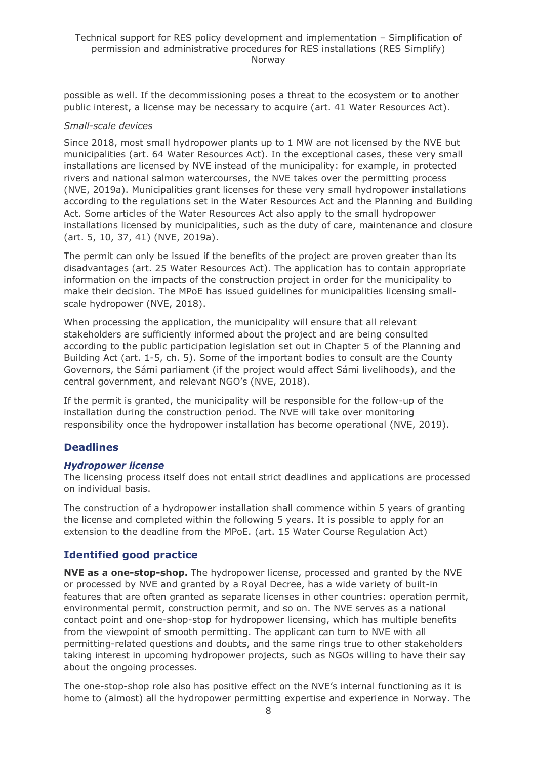possible as well. If the decommissioning poses a threat to the ecosystem or to another public interest, a license may be necessary to acquire (art. 41 Water Resources Act).

#### *Small-scale devices*

Since 2018, most small hydropower plants up to 1 MW are not licensed by the NVE but municipalities (art. 64 Water Resources Act). In the exceptional cases, these very small installations are licensed by NVE instead of the municipality: for example, in protected rivers and national salmon watercourses, the NVE takes over the permitting process (NVE, 2019a). Municipalities grant licenses for these very small hydropower installations according to the regulations set in the Water Resources Act and the Planning and Building Act. Some articles of the Water Resources Act also apply to the small hydropower installations licensed by municipalities, such as the duty of care, maintenance and closure (art. 5, 10, 37, 41) (NVE, 2019a).

The permit can only be issued if the benefits of the project are proven greater than its disadvantages (art. 25 Water Resources Act). The application has to contain appropriate information on the impacts of the construction project in order for the municipality to make their decision. The MPoE has issued guidelines for municipalities licensing smallscale hydropower (NVE, 2018).

When processing the application, the municipality will ensure that all relevant stakeholders are sufficiently informed about the project and are being consulted according to the public participation legislation set out in Chapter 5 of the Planning and Building Act (art. 1-5, ch. 5). Some of the important bodies to consult are the County Governors, the Sámi parliament (if the project would affect Sámi livelihoods), and the central government, and relevant NGO's (NVE, 2018).

If the permit is granted, the municipality will be responsible for the follow-up of the installation during the construction period. The NVE will take over monitoring responsibility once the hydropower installation has become operational (NVE, 2019).

### **Deadlines**

#### *Hydropower license*

The licensing process itself does not entail strict deadlines and applications are processed on individual basis.

The construction of a hydropower installation shall commence within 5 years of granting the license and completed within the following 5 years. It is possible to apply for an extension to the deadline from the MPoE. (art. 15 Water Course Regulation Act)

### **Identified good practice**

**NVE as a one-stop-shop.** The hydropower license, processed and granted by the NVE or processed by NVE and granted by a Royal Decree, has a wide variety of built-in features that are often granted as separate licenses in other countries: operation permit, environmental permit, construction permit, and so on. The NVE serves as a national contact point and one-shop-stop for hydropower licensing, which has multiple benefits from the viewpoint of smooth permitting. The applicant can turn to NVE with all permitting-related questions and doubts, and the same rings true to other stakeholders taking interest in upcoming hydropower projects, such as NGOs willing to have their say about the ongoing processes.

The one-stop-shop role also has positive effect on the NVE's internal functioning as it is home to (almost) all the hydropower permitting expertise and experience in Norway. The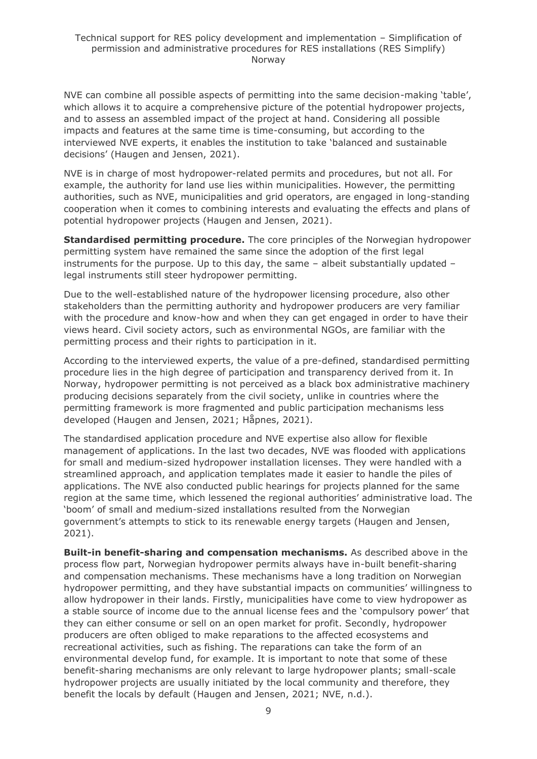NVE can combine all possible aspects of permitting into the same decision-making 'table', which allows it to acquire a comprehensive picture of the potential hydropower projects, and to assess an assembled impact of the project at hand. Considering all possible impacts and features at the same time is time-consuming, but according to the interviewed NVE experts, it enables the institution to take 'balanced and sustainable decisions' (Haugen and Jensen, 2021).

NVE is in charge of most hydropower-related permits and procedures, but not all. For example, the authority for land use lies within municipalities. However, the permitting authorities, such as NVE, municipalities and grid operators, are engaged in long-standing cooperation when it comes to combining interests and evaluating the effects and plans of potential hydropower projects (Haugen and Jensen, 2021).

**Standardised permitting procedure.** The core principles of the Norwegian hydropower permitting system have remained the same since the adoption of the first legal instruments for the purpose. Up to this day, the same – albeit substantially updated – legal instruments still steer hydropower permitting.

Due to the well-established nature of the hydropower licensing procedure, also other stakeholders than the permitting authority and hydropower producers are very familiar with the procedure and know-how and when they can get engaged in order to have their views heard. Civil society actors, such as environmental NGOs, are familiar with the permitting process and their rights to participation in it.

According to the interviewed experts, the value of a pre-defined, standardised permitting procedure lies in the high degree of participation and transparency derived from it. In Norway, hydropower permitting is not perceived as a black box administrative machinery producing decisions separately from the civil society, unlike in countries where the permitting framework is more fragmented and public participation mechanisms less developed (Haugen and Jensen, 2021; Håpnes, 2021).

The standardised application procedure and NVE expertise also allow for flexible management of applications. In the last two decades, NVE was flooded with applications for small and medium-sized hydropower installation licenses. They were handled with a streamlined approach, and application templates made it easier to handle the piles of applications. The NVE also conducted public hearings for projects planned for the same region at the same time, which lessened the regional authorities' administrative load. The 'boom' of small and medium-sized installations resulted from the Norwegian government's attempts to stick to its renewable energy targets (Haugen and Jensen, 2021).

**Built-in benefit-sharing and compensation mechanisms.** As described above in the process flow part, Norwegian hydropower permits always have in-built benefit-sharing and compensation mechanisms. These mechanisms have a long tradition on Norwegian hydropower permitting, and they have substantial impacts on communities' willingness to allow hydropower in their lands. Firstly, municipalities have come to view hydropower as a stable source of income due to the annual license fees and the 'compulsory power' that they can either consume or sell on an open market for profit. Secondly, hydropower producers are often obliged to make reparations to the affected ecosystems and recreational activities, such as fishing. The reparations can take the form of an environmental develop fund, for example. It is important to note that some of these benefit-sharing mechanisms are only relevant to large hydropower plants; small-scale hydropower projects are usually initiated by the local community and therefore, they benefit the locals by default (Haugen and Jensen, 2021; NVE, n.d.).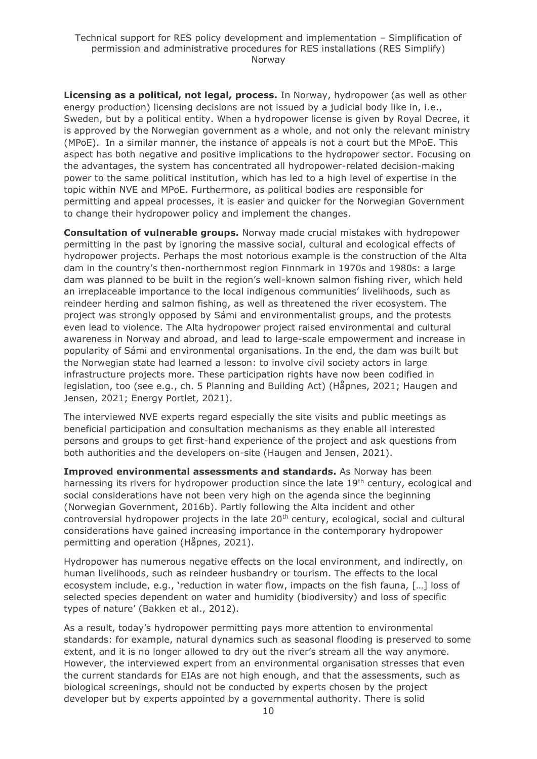**Licensing as a political, not legal, process.** In Norway, hydropower (as well as other energy production) licensing decisions are not issued by a judicial body like in, i.e., Sweden, but by a political entity. When a hydropower license is given by Royal Decree, it is approved by the Norwegian government as a whole, and not only the relevant ministry (MPoE). In a similar manner, the instance of appeals is not a court but the MPoE. This aspect has both negative and positive implications to the hydropower sector. Focusing on the advantages, the system has concentrated all hydropower-related decision-making power to the same political institution, which has led to a high level of expertise in the topic within NVE and MPoE. Furthermore, as political bodies are responsible for permitting and appeal processes, it is easier and quicker for the Norwegian Government to change their hydropower policy and implement the changes.

**Consultation of vulnerable groups.** Norway made crucial mistakes with hydropower permitting in the past by ignoring the massive social, cultural and ecological effects of hydropower projects. Perhaps the most notorious example is the construction of the Alta dam in the country's then-northernmost region Finnmark in 1970s and 1980s: a large dam was planned to be built in the region's well-known salmon fishing river, which held an irreplaceable importance to the local indigenous communities' livelihoods, such as reindeer herding and salmon fishing, as well as threatened the river ecosystem. The project was strongly opposed by Sámi and environmentalist groups, and the protests even lead to violence. The Alta hydropower project raised environmental and cultural awareness in Norway and abroad, and lead to large-scale empowerment and increase in popularity of Sámi and environmental organisations. In the end, the dam was built but the Norwegian state had learned a lesson: to involve civil society actors in large infrastructure projects more. These participation rights have now been codified in legislation, too (see e.g., ch. 5 Planning and Building Act) (Håpnes, 2021; Haugen and Jensen, 2021; Energy Portlet, 2021).

The interviewed NVE experts regard especially the site visits and public meetings as beneficial participation and consultation mechanisms as they enable all interested persons and groups to get first-hand experience of the project and ask questions from both authorities and the developers on-site (Haugen and Jensen, 2021).

**Improved environmental assessments and standards.** As Norway has been harnessing its rivers for hydropower production since the late 19<sup>th</sup> century, ecological and social considerations have not been very high on the agenda since the beginning (Norwegian Government, 2016b). Partly following the Alta incident and other controversial hydropower projects in the late 20<sup>th</sup> century, ecological, social and cultural considerations have gained increasing importance in the contemporary hydropower permitting and operation (Håpnes, 2021).

Hydropower has numerous negative effects on the local environment, and indirectly, on human livelihoods, such as reindeer husbandry or tourism. The effects to the local ecosystem include, e.g., 'reduction in water flow, impacts on the fish fauna, [...] loss of selected species dependent on water and humidity (biodiversity) and loss of specific types of nature' (Bakken et al., 2012).

As a result, today's hydropower permitting pays more attention to environmental standards: for example, natural dynamics such as seasonal flooding is preserved to some extent, and it is no longer allowed to dry out the river's stream all the way anymore. However, the interviewed expert from an environmental organisation stresses that even the current standards for EIAs are not high enough, and that the assessments, such as biological screenings, should not be conducted by experts chosen by the project developer but by experts appointed by a governmental authority. There is solid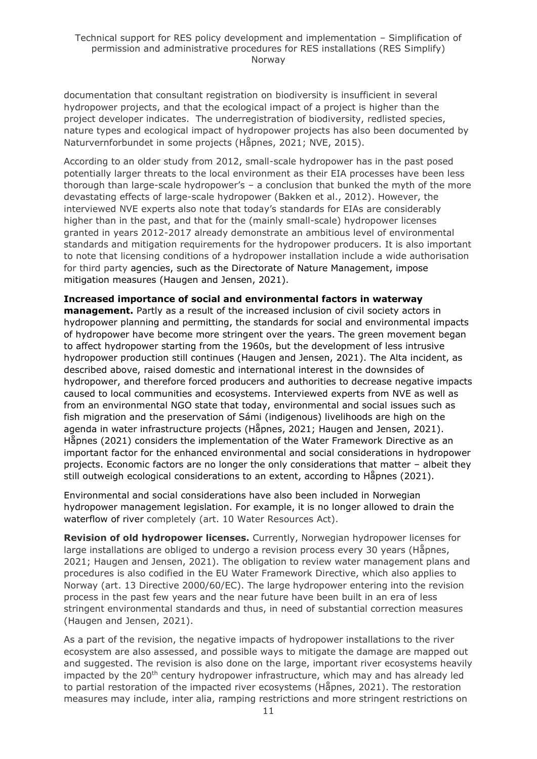documentation that consultant registration on biodiversity is insufficient in several hydropower projects, and that the ecological impact of a project is higher than the project developer indicates. The underregistration of biodiversity, redlisted species, nature types and ecological impact of hydropower projects has also been documented by Naturvernforbundet in some projects (Håpnes, 2021; NVE, 2015).

According to an older study from 2012, small-scale hydropower has in the past posed potentially larger threats to the local environment as their EIA processes have been less thorough than large-scale hydropower's – a conclusion that bunked the myth of the more devastating effects of large-scale hydropower (Bakken et al., 2012). However, the interviewed NVE experts also note that today's standards for EIAs are considerably higher than in the past, and that for the (mainly small-scale) hydropower licenses granted in years 2012-2017 already demonstrate an ambitious level of environmental standards and mitigation requirements for the hydropower producers. It is also important to note that licensing conditions of a hydropower installation include a wide authorisation for third party agencies, such as the Directorate of Nature Management, impose mitigation measures (Haugen and Jensen, 2021).

#### **Increased importance of social and environmental factors in waterway**

**management.** Partly as a result of the increased inclusion of civil society actors in hydropower planning and permitting, the standards for social and environmental impacts of hydropower have become more stringent over the years. The green movement began to affect hydropower starting from the 1960s, but the development of less intrusive hydropower production still continues (Haugen and Jensen, 2021). The Alta incident, as described above, raised domestic and international interest in the downsides of hydropower, and therefore forced producers and authorities to decrease negative impacts caused to local communities and ecosystems. Interviewed experts from NVE as well as from an environmental NGO state that today, environmental and social issues such as fish migration and the preservation of Sámi (indigenous) livelihoods are high on the agenda in water infrastructure projects (Håpnes, 2021; Haugen and Jensen, 2021). Håpnes (2021) considers the implementation of the Water Framework Directive as an important factor for the enhanced environmental and social considerations in hydropower projects. Economic factors are no longer the only considerations that matter – albeit they still outweigh ecological considerations to an extent, according to Håpnes (2021).

Environmental and social considerations have also been included in Norwegian hydropower management legislation. For example, it is no longer allowed to drain the waterflow of river completely (art. 10 Water Resources Act).

**Revision of old hydropower licenses.** Currently, Norwegian hydropower licenses for large installations are obliged to undergo a revision process every 30 years (Håpnes, 2021; Haugen and Jensen, 2021). The obligation to review water management plans and procedures is also codified in the EU Water Framework Directive, which also applies to Norway (art. 13 Directive 2000/60/EC). The large hydropower entering into the revision process in the past few years and the near future have been built in an era of less stringent environmental standards and thus, in need of substantial correction measures (Haugen and Jensen, 2021).

As a part of the revision, the negative impacts of hydropower installations to the river ecosystem are also assessed, and possible ways to mitigate the damage are mapped out and suggested. The revision is also done on the large, important river ecosystems heavily impacted by the 20<sup>th</sup> century hydropower infrastructure, which may and has already led to partial restoration of the impacted river ecosystems (Håpnes, 2021). The restoration measures may include, inter alia, ramping restrictions and more stringent restrictions on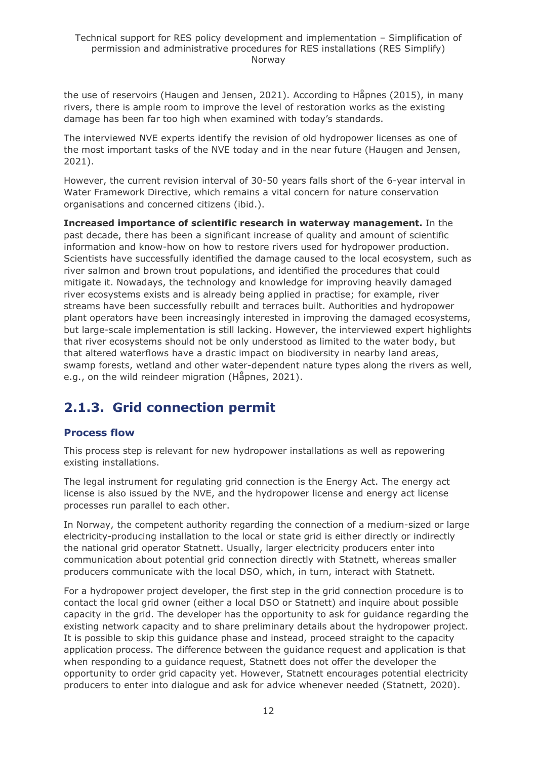the use of reservoirs (Haugen and Jensen, 2021). According to Håpnes (2015), in many rivers, there is ample room to improve the level of restoration works as the existing damage has been far too high when examined with today's standards.

The interviewed NVE experts identify the revision of old hydropower licenses as one of the most important tasks of the NVE today and in the near future (Haugen and Jensen, 2021).

However, the current revision interval of 30-50 years falls short of the 6-year interval in Water Framework Directive, which remains a vital concern for nature conservation organisations and concerned citizens (ibid.).

**Increased importance of scientific research in waterway management.** In the past decade, there has been a significant increase of quality and amount of scientific information and know-how on how to restore rivers used for hydropower production. Scientists have successfully identified the damage caused to the local ecosystem, such as river salmon and brown trout populations, and identified the procedures that could mitigate it. Nowadays, the technology and knowledge for improving heavily damaged river ecosystems exists and is already being applied in practise; for example, river streams have been successfully rebuilt and terraces built. Authorities and hydropower plant operators have been increasingly interested in improving the damaged ecosystems, but large-scale implementation is still lacking. However, the interviewed expert highlights that river ecosystems should not be only understood as limited to the water body, but that altered waterflows have a drastic impact on biodiversity in nearby land areas, swamp forests, wetland and other water-dependent nature types along the rivers as well, e.g., on the wild reindeer migration (Håpnes, 2021).

# <span id="page-11-0"></span>**2.1.3. Grid connection permit**

## **Process flow**

This process step is relevant for new hydropower installations as well as repowering existing installations.

The legal instrument for regulating grid connection is the Energy Act. The energy act license is also issued by the NVE, and the hydropower license and energy act license processes run parallel to each other.

In Norway, the competent authority regarding the connection of a medium-sized or large electricity-producing installation to the local or state grid is either directly or indirectly the national grid operator Statnett. Usually, larger electricity producers enter into communication about potential grid connection directly with Statnett, whereas smaller producers communicate with the local DSO, which, in turn, interact with Statnett.

For a hydropower project developer, the first step in the grid connection procedure is to contact the local grid owner (either a local DSO or Statnett) and inquire about possible capacity in the grid. The developer has the opportunity to ask for guidance regarding the existing network capacity and to share preliminary details about the hydropower project. It is possible to skip this guidance phase and instead, proceed straight to the capacity application process. The difference between the guidance request and application is that when responding to a guidance request, Statnett does not offer the developer the opportunity to order grid capacity yet. However, Statnett encourages potential electricity producers to enter into dialogue and ask for advice whenever needed (Statnett, 2020).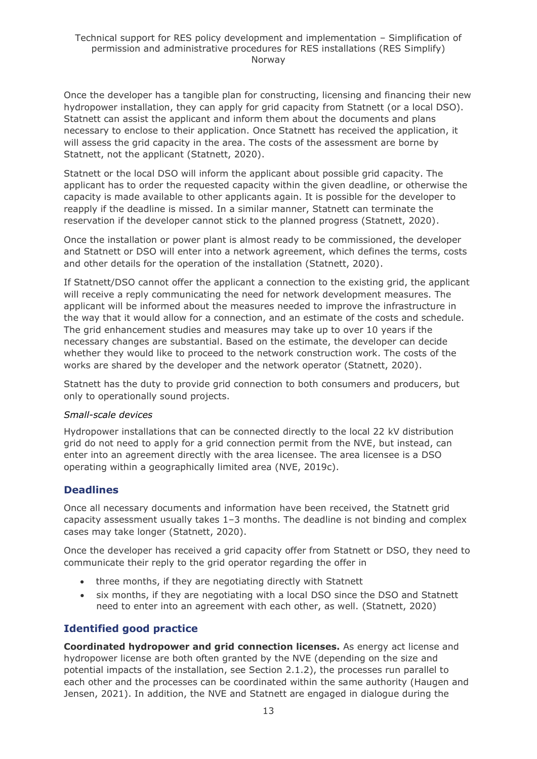Once the developer has a tangible plan for constructing, licensing and financing their new hydropower installation, they can apply for grid capacity from Statnett (or a local DSO). Statnett can assist the applicant and inform them about the documents and plans necessary to enclose to their application. Once Statnett has received the application, it will assess the grid capacity in the area. The costs of the assessment are borne by Statnett, not the applicant (Statnett, 2020).

Statnett or the local DSO will inform the applicant about possible grid capacity. The applicant has to order the requested capacity within the given deadline, or otherwise the capacity is made available to other applicants again. It is possible for the developer to reapply if the deadline is missed. In a similar manner, Statnett can terminate the reservation if the developer cannot stick to the planned progress (Statnett, 2020).

Once the installation or power plant is almost ready to be commissioned, the developer and Statnett or DSO will enter into a network agreement, which defines the terms, costs and other details for the operation of the installation (Statnett, 2020).

If Statnett/DSO cannot offer the applicant a connection to the existing grid, the applicant will receive a reply communicating the need for network development measures. The applicant will be informed about the measures needed to improve the infrastructure in the way that it would allow for a connection, and an estimate of the costs and schedule. The grid enhancement studies and measures may take up to over 10 years if the necessary changes are substantial. Based on the estimate, the developer can decide whether they would like to proceed to the network construction work. The costs of the works are shared by the developer and the network operator (Statnett, 2020).

Statnett has the duty to provide grid connection to both consumers and producers, but only to operationally sound projects.

#### *Small-scale devices*

Hydropower installations that can be connected directly to the local 22 kV distribution grid do not need to apply for a grid connection permit from the NVE, but instead, can enter into an agreement directly with the area licensee. The area licensee is a DSO operating within a geographically limited area (NVE, 2019c).

### **Deadlines**

Once all necessary documents and information have been received, the Statnett grid capacity assessment usually takes 1–3 months. The deadline is not binding and complex cases may take longer (Statnett, 2020).

Once the developer has received a grid capacity offer from Statnett or DSO, they need to communicate their reply to the grid operator regarding the offer in

- three months, if they are negotiating directly with Statnett
- six months, if they are negotiating with a local DSO since the DSO and Statnett need to enter into an agreement with each other, as well. (Statnett, 2020)

### **Identified good practice**

**Coordinated hydropower and grid connection licenses.** As energy act license and hydropower license are both often granted by the NVE (depending on the size and potential impacts of the installation, see Section 2.1.2), the processes run parallel to each other and the processes can be coordinated within the same authority (Haugen and Jensen, 2021). In addition, the NVE and Statnett are engaged in dialogue during the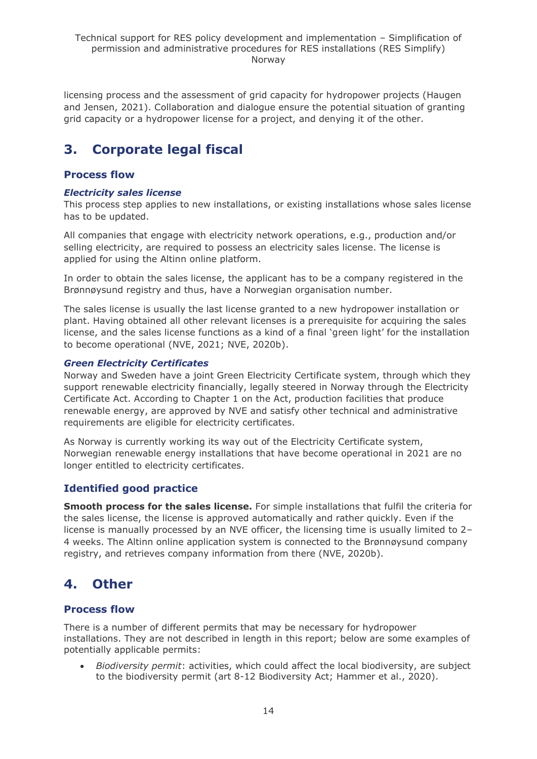licensing process and the assessment of grid capacity for hydropower projects (Haugen and Jensen, 2021). Collaboration and dialogue ensure the potential situation of granting grid capacity or a hydropower license for a project, and denying it of the other.

# <span id="page-13-0"></span>**3. Corporate legal fiscal**

### **Process flow**

#### *Electricity sales license*

This process step applies to new installations, or existing installations whose sales license has to be updated.

All companies that engage with electricity network operations, e.g., production and/or selling electricity, are required to possess an electricity sales license. The license is applied for using the Altinn online platform.

In order to obtain the sales license, the applicant has to be a company registered in the Brønnøysund registry and thus, have a Norwegian organisation number.

The sales license is usually the last license granted to a new hydropower installation or plant. Having obtained all other relevant licenses is a prerequisite for acquiring the sales license, and the sales license functions as a kind of a final 'green light' for the installation to become operational (NVE, 2021; NVE, 2020b).

#### *Green Electricity Certificates*

Norway and Sweden have a joint Green Electricity Certificate system, through which they support renewable electricity financially, legally steered in Norway through the Electricity Certificate Act. According to Chapter 1 on the Act, production facilities that produce renewable energy, are approved by NVE and satisfy other technical and administrative requirements are eligible for electricity certificates.

As Norway is currently working its way out of the Electricity Certificate system, Norwegian renewable energy installations that have become operational in 2021 are no longer entitled to electricity certificates.

### **Identified good practice**

**Smooth process for the sales license.** For simple installations that fulfil the criteria for the sales license, the license is approved automatically and rather quickly. Even if the license is manually processed by an NVE officer, the licensing time is usually limited to 2– 4 weeks. The Altinn online application system is connected to the Brønnøysund company registry, and retrieves company information from there (NVE, 2020b).

# <span id="page-13-1"></span>**4. Other**

### **Process flow**

There is a number of different permits that may be necessary for hydropower installations. They are not described in length in this report; below are some examples of potentially applicable permits:

• *Biodiversity permit*: activities, which could affect the local biodiversity, are subject to the biodiversity permit (art 8-12 Biodiversity Act; Hammer et al., 2020).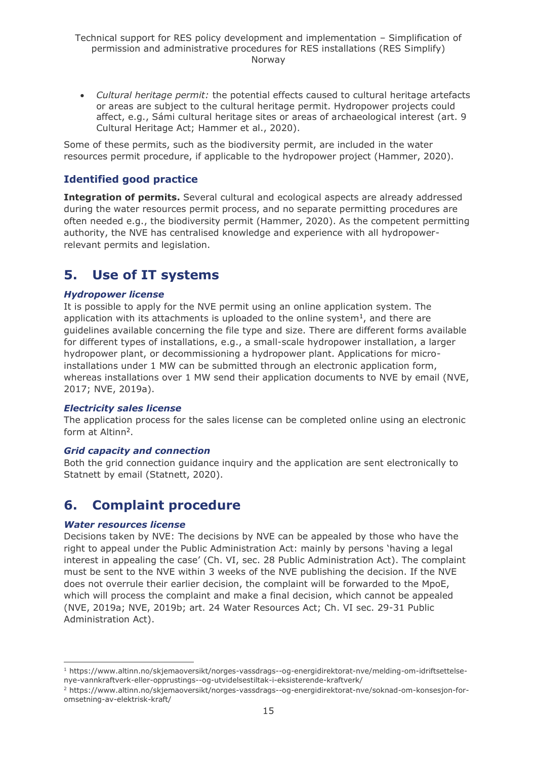• *Cultural heritage permit:* the potential effects caused to cultural heritage artefacts or areas are subject to the cultural heritage permit. Hydropower projects could affect, e.g., Sámi cultural heritage sites or areas of archaeological interest (art. 9 Cultural Heritage Act; Hammer et al., 2020).

Some of these permits, such as the biodiversity permit, are included in the water resources permit procedure, if applicable to the hydropower project (Hammer, 2020).

### **Identified good practice**

**Integration of permits.** Several cultural and ecological aspects are already addressed during the water resources permit process, and no separate permitting procedures are often needed e.g., the biodiversity permit (Hammer, 2020). As the competent permitting authority, the NVE has centralised knowledge and experience with all hydropowerrelevant permits and legislation.

# <span id="page-14-0"></span>**5. Use of IT systems**

#### *Hydropower license*

It is possible to apply for the NVE permit using an online application system. The application with its attachments is uploaded to the online system $<sup>1</sup>$ , and there are</sup> guidelines available concerning the file type and size. There are different forms available for different types of installations, e.g., a small-scale hydropower installation, a larger hydropower plant, or decommissioning a hydropower plant. Applications for microinstallations under 1 MW can be submitted through an electronic application form, whereas installations over 1 MW send their application documents to NVE by email (NVE, 2017; NVE, 2019a).

#### *Electricity sales license*

The application process for the sales license can be completed online using an electronic form at Altinn<sup>2</sup>.

#### *Grid capacity and connection*

Both the grid connection guidance inquiry and the application are sent electronically to Statnett by email (Statnett, 2020).

# <span id="page-14-1"></span>**6. Complaint procedure**

#### *Water resources license*

Decisions taken by NVE: The decisions by NVE can be appealed by those who have the right to appeal under the Public Administration Act: mainly by persons 'having a legal interest in appealing the case' (Ch. VI, sec. 28 Public Administration Act). The complaint must be sent to the NVE within 3 weeks of the NVE publishing the decision. If the NVE does not overrule their earlier decision, the complaint will be forwarded to the MpoE, which will process the complaint and make a final decision, which cannot be appealed (NVE, 2019a; NVE, 2019b; art. 24 Water Resources Act; Ch. VI sec. 29-31 Public Administration Act).

<sup>1</sup> https://www.altinn.no/skjemaoversikt/norges-vassdrags--og-energidirektorat-nve/melding-om-idriftsettelsenye-vannkraftverk-eller-opprustings--og-utvidelsestiltak-i-eksisterende-kraftverk/

<sup>2</sup> https://www.altinn.no/skjemaoversikt/norges-vassdrags--og-energidirektorat-nve/soknad-om-konsesjon-foromsetning-av-elektrisk-kraft/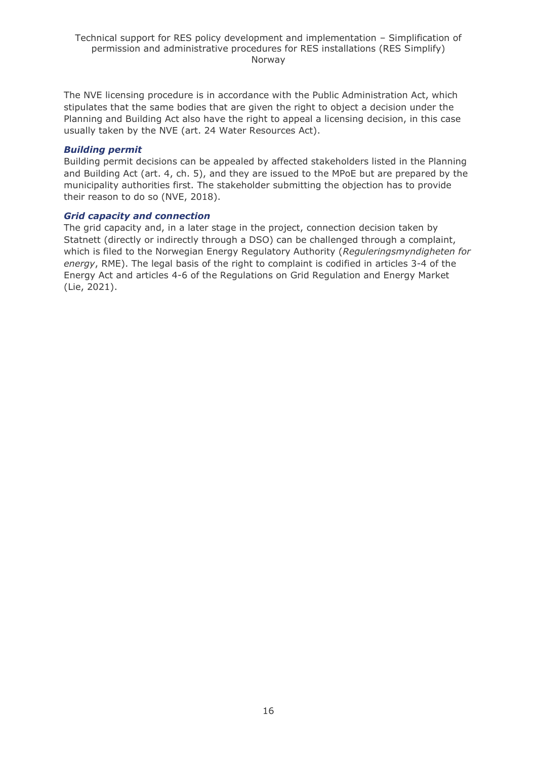The NVE licensing procedure is in accordance with the Public Administration Act, which stipulates that the same bodies that are given the right to object a decision under the Planning and Building Act also have the right to appeal a licensing decision, in this case usually taken by the NVE (art. 24 Water Resources Act).

#### *Building permit*

Building permit decisions can be appealed by affected stakeholders listed in the Planning and Building Act (art. 4, ch. 5), and they are issued to the MPoE but are prepared by the municipality authorities first. The stakeholder submitting the objection has to provide their reason to do so (NVE, 2018).

#### *Grid capacity and connection*

The grid capacity and, in a later stage in the project, connection decision taken by Statnett (directly or indirectly through a DSO) can be challenged through a complaint, which is filed to the Norwegian Energy Regulatory Authority (*Reguleringsmyndigheten for energy*, RME). The legal basis of the right to complaint is codified in articles 3-4 of the Energy Act and articles 4-6 of the Regulations on Grid Regulation and Energy Market (Lie, 2021).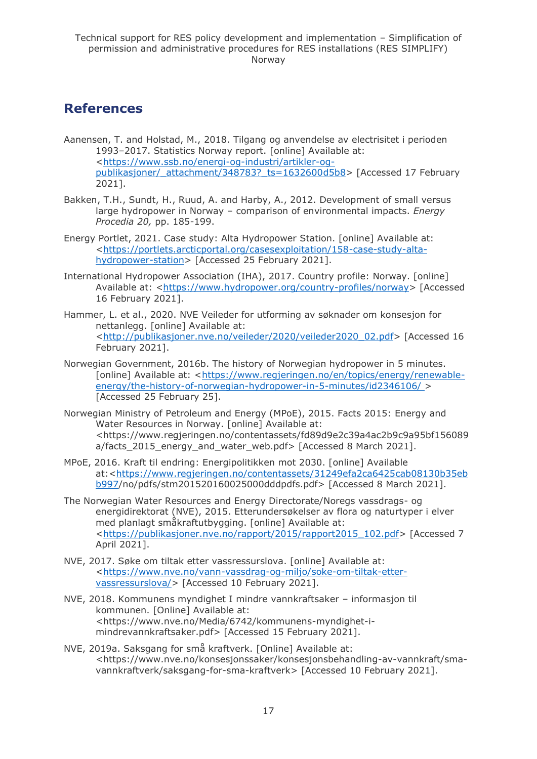# <span id="page-16-0"></span>**References**

- Aanensen, T. and Holstad, M., 2018. Tilgang og anvendelse av electrisitet i perioden 1993–2017. Statistics Norway report. [online] Available at: [<https://www.ssb.no/energi-og-industri/artikler-og](https://www.ssb.no/energi-og-industri/artikler-og-publikasjoner/_attachment/348783?_ts=1632600d5b8)[publikasjoner/\\_attachment/348783?\\_ts=1632600d5b8>](https://www.ssb.no/energi-og-industri/artikler-og-publikasjoner/_attachment/348783?_ts=1632600d5b8) [Accessed 17 February 2021].
- Bakken, T.H., Sundt, H., Ruud, A. and Harby, A., 2012. Development of small versus large hydropower in Norway – comparison of environmental impacts. *Energy Procedia 20,* pp. 185-199.
- Energy Portlet, 2021. Case study: Alta Hydropower Station. [online] Available at: [<https://portlets.arcticportal.org/casesexploitation/158-case-study-alta](https://portlets.arcticportal.org/casesexploitation/158-case-study-alta-hydropower-station)[hydropower-station>](https://portlets.arcticportal.org/casesexploitation/158-case-study-alta-hydropower-station) [Accessed 25 February 2021].
- International Hydropower Association (IHA), 2017. Country profile: Norway. [online] Available at: [<https://www.hydropower.org/country-profiles/norway>](https://www.hydropower.org/country-profiles/norway) [Accessed] 16 February 2021].
- Hammer, L. et al., 2020. NVE Veileder for utforming av søknader om konsesjon for nettanlegg. [online] Available at: [<http://publikasjoner.nve.no/veileder/2020/veileder2020\\_02.pdf>](http://publikasjoner.nve.no/veileder/2020/veileder2020_02.pdf) [Accessed 16 February 2021].
- Norwegian Government, 2016b. The history of Norwegian hydropower in 5 minutes. [online] Available at: [<https://www.regjeringen.no/en/topics/energy/renewable](https://www.regjeringen.no/en/topics/energy/renewable-energy/the-history-of-norwegian-hydropower-in-5-minutes/id2346106/)[energy/the-history-of-norwegian-hydropower-in-5-minutes/id2346106/ >](https://www.regjeringen.no/en/topics/energy/renewable-energy/the-history-of-norwegian-hydropower-in-5-minutes/id2346106/) [Accessed 25 February 25].
- Norwegian Ministry of Petroleum and Energy (MPoE), 2015. Facts 2015: Energy and Water Resources in Norway. [online] Available at: <https://www.regjeringen.no/contentassets/fd89d9e2c39a4ac2b9c9a95bf156089 a/facts\_2015\_energy\_and\_water\_web.pdf> [Accessed 8 March 2021].
- MPoE, 2016. Kraft til endring: Energipolitikken mot 2030. [online] Available at:[<https://www.regjeringen.no/contentassets/31249efa2ca6425cab08130b35eb](https://www.regjeringen.no/contentassets/31249efa2ca6425cab08130b35ebb997) [b997/](https://www.regjeringen.no/contentassets/31249efa2ca6425cab08130b35ebb997)no/pdfs/stm201520160025000dddpdfs.pdf> [Accessed 8 March 2021].
- The Norwegian Water Resources and Energy Directorate/Noregs vassdrags- og energidirektorat (NVE), 2015. Etterundersøkelser av flora og naturtyper i elver med planlagt småkraftutbygging. [online] Available at: [<https://publikasjoner.nve.no/rapport/2015/rapport2015\\_102.pdf>](https://publikasjoner.nve.no/rapport/2015/rapport2015_102.pdf) [Accessed 7 April 2021].
- NVE, 2017. Søke om tiltak etter vassressurslova. [online] Available at: [<https://www.nve.no/vann-vassdrag-og-miljo/soke-om-tiltak-etter](https://www.nve.no/vann-vassdrag-og-miljo/soke-om-tiltak-etter-vassressurslova/)[vassressurslova/>](https://www.nve.no/vann-vassdrag-og-miljo/soke-om-tiltak-etter-vassressurslova/) [Accessed 10 February 2021].
- NVE, 2018. Kommunens myndighet I mindre vannkraftsaker informasjon til kommunen. [Online] Available at: <https://www.nve.no/Media/6742/kommunens-myndighet-imindrevannkraftsaker.pdf> [Accessed 15 February 2021].
- NVE, 2019a. Saksgang for små kraftverk. [Online] Available at: <https://www.nve.no/konsesjonssaker/konsesjonsbehandling-av-vannkraft/smavannkraftverk/saksgang-for-sma-kraftverk> [Accessed 10 February 2021].